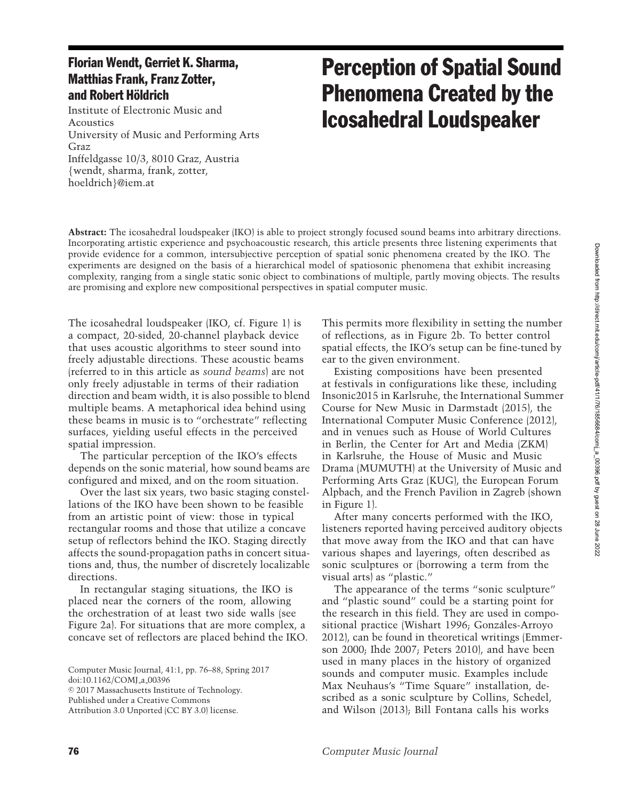# Florian Wendt, Gerriet K. Sharma, Matthias Frank, Franz Zotter, and Robert Höldrich

Institute of Electronic Music and Acoustics University of Music and Performing Arts Graz Inffeldgasse 10/3, 8010 Graz, Austria {wendt, sharma, frank, zotter, hoeldrich}@iem.at

# Perception of Spatial Sound Phenomena Created by the Icosahedral Loudspeaker

**Abstract:** The icosahedral loudspeaker (IKO) is able to project strongly focused sound beams into arbitrary directions. Incorporating artistic experience and psychoacoustic research, this article presents three listening experiments that provide evidence for a common, intersubjective perception of spatial sonic phenomena created by the IKO. The experiments are designed on the basis of a hierarchical model of spatiosonic phenomena that exhibit increasing complexity, ranging from a single static sonic object to combinations of multiple, partly moving objects. The results are promising and explore new compositional perspectives in spatial computer music.

The icosahedral loudspeaker (IKO, cf. Figure 1) is a compact, 20-sided, 20-channel playback device that uses acoustic algorithms to steer sound into freely adjustable directions. These acoustic beams (referred to in this article as *sound beams*) are not only freely adjustable in terms of their radiation direction and beam width, it is also possible to blend multiple beams. A metaphorical idea behind using these beams in music is to "orchestrate" reflecting surfaces, yielding useful effects in the perceived spatial impression.

The particular perception of the IKO's effects depends on the sonic material, how sound beams are configured and mixed, and on the room situation.

Over the last six years, two basic staging constellations of the IKO have been shown to be feasible from an artistic point of view: those in typical rectangular rooms and those that utilize a concave setup of reflectors behind the IKO. Staging directly affects the sound-propagation paths in concert situations and, thus, the number of discretely localizable directions.

In rectangular staging situations, the IKO is placed near the corners of the room, allowing the orchestration of at least two side walls (see Figure 2a). For situations that are more complex, a concave set of reflectors are placed behind the IKO.

Computer Music Journal, 41:1, pp. 76–88, Spring 2017 doi:10.1162/COMJ a 00396  $©$  2017 Massachusetts Institute of Technology. Published under a Creative Commons

Attribution 3.0 Unported (CC BY 3.0) license.

This permits more flexibility in setting the number of reflections, as in Figure 2b. To better control spatial effects, the IKO's setup can be fine-tuned by ear to the given environment.

Existing compositions have been presented at festivals in configurations like these, including Insonic2015 in Karlsruhe, the International Summer Course for New Music in Darmstadt (2015), the International Computer Music Conference (2012), and in venues such as House of World Cultures in Berlin, the Center for Art and Media (ZKM) in Karlsruhe, the House of Music and Music Drama (MUMUTH) at the University of Music and Performing Arts Graz (KUG), the European Forum Alpbach, and the French Pavilion in Zagreb (shown in Figure 1).

After many concerts performed with the IKO, listeners reported having perceived auditory objects that move away from the IKO and that can have various shapes and layerings, often described as sonic sculptures or (borrowing a term from the visual arts) as "plastic."

The appearance of the terms "sonic sculpture" and "plastic sound" could be a starting point for the research in this field. They are used in compo-sitional practice [\(Wishart 1996;](#page-12-0) Gonzáles-Arroyo [2012](#page-11-0)[\), can be found in theoretical writings \(](#page-11-1)Emmerson [2000](#page-11-1); [Ihde 2007](#page-12-1); [Peters 2010\)](#page-12-2), and have been used in many places in the history of organized sounds and computer music. Examples include Max Neuhaus's "Time Square" installation, described as [a sonic sculpture by](#page-11-2) Collins, Schedel, and Wilson [\(2013\)](#page-11-2); Bill Fontana calls his works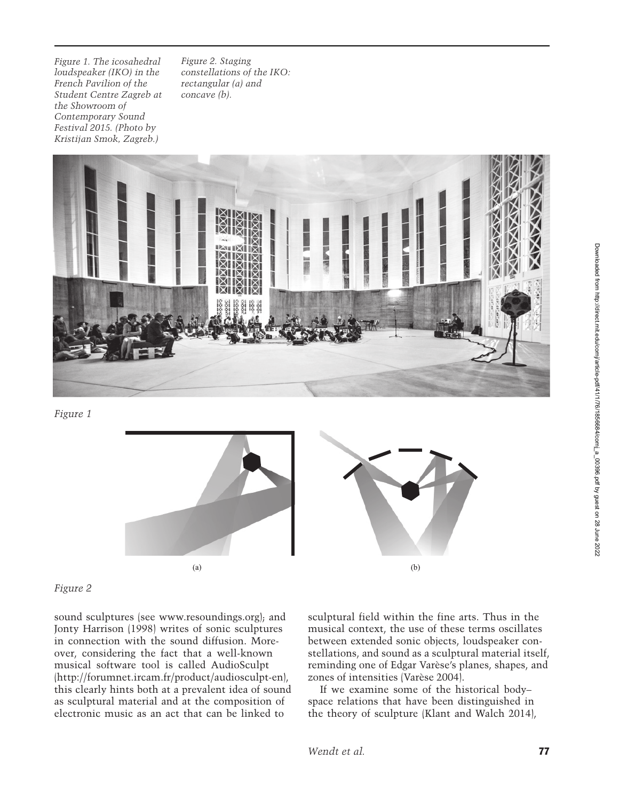*Figure 1. The icosahedral loudspeaker (IKO) in the French Pavilion of the Student Centre Zagreb at the Showroom of Contemporary Sound Festival 2015. (Photo by Kristijan Smok, Zagreb.)*

*Figure 2. Staging constellations of the IKO: rectangular (a) and concave (b).*



*Figure 1*



#### *Figure 2*

sound sculptures (see www.resoundings.org); and Jonty [Harrison](#page-12-3) [\(1998](#page-12-3)) writes of sonic sculptures in connection with the sound diffusion. Moreover, considering the fact that a well-known musical software tool is called AudioSculpt (http://forumnet.ircam.fr/product/audiosculpt-en), this clearly hints both at a prevalent idea of sound as sculptural material and at the composition of electronic music as an act that can be linked to



sculptural field within the fine arts. Thus in the musical context, the use of these terms oscillates between extended sonic objects, loudspeaker constellations, and sound as a sculptural material itself, reminding one of Edgar Varèse's planes, shapes, and zones of intensities (Varèse 2004).

If we examine some of the historical body– space relations that have been distinguished in the theory of sculpture [\(Klant and Walch 2014](#page-12-5)),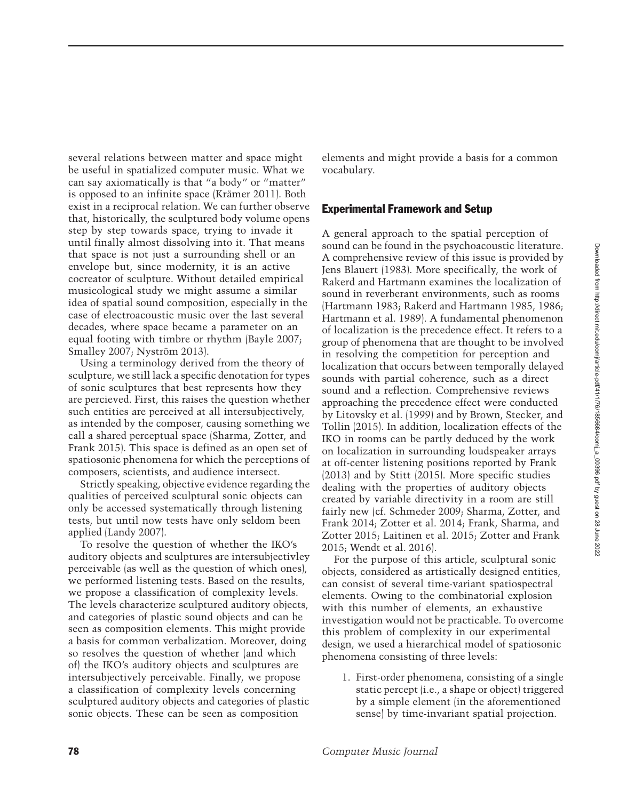several relations between matter and space might be useful in spatialized computer music. What we can say axiomatically is that "a body" or "matter" is opposed to an infinite space (Krämer 2011). Both exist in a reciprocal relation. We can further observe that, historically, the sculptured body volume opens step by step towards space, trying to invade it until finally almost dissolving into it. That means that space is not just a surrounding shell or an envelope but, since modernity, it is an active cocreator of sculpture. Without detailed empirical musicological study we might assume a similar idea of spatial sound composition, especially in the case of electroacoustic music over the last several decades, where space became a parameter on an equal footing with timbre or rhythm [\(Bayle 2007](#page-11-3); [Smalley 2007;](#page-12-7) Nyström 2013).

Using a terminology derived from the theory of sculpture, we still lack a specific denotation for types of sonic sculptures that best represents how they are percieved. First, this raises the question whether such entities are perceived at all intersubjectively, as intended by the composer, causing something we call a [shared perceptual space \(](#page-12-9)Sharma, Zotter, and Frank [2015](#page-12-9)). This space is defined as an open set of spatiosonic phenomena for which the perceptions of composers, scientists, and audience intersect.

Strictly speaking, objective evidence regarding the qualities of perceived sculptural sonic objects can only be accessed systematically through listening tests, but until now tests have only seldom been applied [\(Landy 2007](#page-12-10)).

To resolve the question of whether the IKO's auditory objects and sculptures are intersubjectivley perceivable (as well as the question of which ones), we performed listening tests. Based on the results, we propose a classification of complexity levels. The levels characterize sculptured auditory objects, and categories of plastic sound objects and can be seen as composition elements. This might provide a basis for common verbalization. Moreover, doing so resolves the question of whether (and which of) the IKO's auditory objects and sculptures are intersubjectively perceivable. Finally, we propose a classification of complexity levels concerning sculptured auditory objects and categories of plastic sonic objects. These can be seen as composition

elements and might provide a basis for a common vocabulary.

## Experimental Framework and Setup

A general approach to the spatial perception of sound can be found in the psychoacoustic literature. A comprehensive review of this issue is provided by Jens [Blauert](#page-11-4) [\(1983](#page-11-4)). More specifically, the work of Rakerd and Hartmann examines the localization of sound in reverberant environments, such as rooms [\(Hartmann 1983;](#page-12-11) [Rakerd and Hartmann 1985,](#page-12-12) [1986;](#page-12-13) [Hartmann et al. 1989\)](#page-12-14). A fundamental phenomenon of localization is the precedence effect. It refers to a group of phenomena that are thought to be involved in resolving the competition for perception and localization that occurs between temporally delayed sounds with partial coherence, such as a direct sound and a reflection. Comprehensive reviews approaching the precedence effect were conducted by [Litovsky et al.](#page-12-15)[\(1999](#page-12-15)[\) and by](#page-11-5) Brown, Stecker, and Tollin [\(2015](#page-11-5)). In addition, localization effects of the IKO in rooms can be partly deduced by the work on localization in surrounding loudspeaker arrays at off-center listening positions reported by [Frank](#page-11-6) [\(2013](#page-11-6)) and by [Stitt](#page-12-16) [\(2015](#page-12-16)). More specific studies dealing with the properties of auditory objects created by variable directivity in a room are still fairly [new](#page-12-18) [\(cf.](#page-12-18) [Schmeder 2009](#page-12-17)[;](#page-12-18) Sharma, Zotter, and Frank [2014](#page-12-18)[;](#page-11-7) [Zotter et al. 2014](#page-12-19)[;](#page-11-7) Frank, Sharma, and Zotter [2015](#page-11-7); [Laitinen et al. 2015](#page-12-20); [Zotter and Frank](#page-12-21) [2015;](#page-12-21) [Wendt et al. 2016\)](#page-12-22).

For the purpose of this article, sculptural sonic objects, considered as artistically designed entities, can consist of several time-variant spatiospectral elements. Owing to the combinatorial explosion with this number of elements, an exhaustive investigation would not be practicable. To overcome this problem of complexity in our experimental design, we used a hierarchical model of spatiosonic phenomena consisting of three levels:

1. First-order phenomena, consisting of a single static percept (i.e., a shape or object) triggered by a simple element (in the aforementioned sense) by time-invariant spatial projection.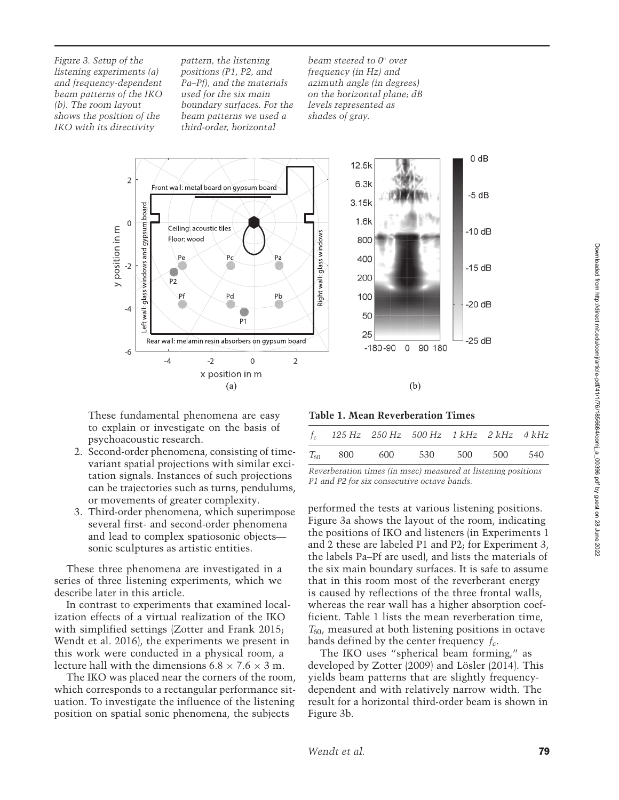*Figure 3. Setup of the listening experiments (a) and frequency-dependent beam patterns of the IKO (b). The room layout shows the position of the IKO with its directivity*

*pattern, the listening positions (P1, P2, and Pa–Pf), and the materials used for the six main boundary surfaces. For the beam patterns we used a third-order, horizontal*

*beam steered to 0*◦ *over frequency (in Hz) and azimuth angle (in degrees) on the horizontal plane; dB levels represented as shades of gray.*



These fundamental phenomena are easy to explain or investigate on the basis of psychoacoustic research.

- 2. Second-order phenomena, consisting of timevariant spatial projections with similar excitation signals. Instances of such projections can be trajectories such as turns, pendulums, or movements of greater complexity.
- 3. Third-order phenomena, which superimpose several first- and second-order phenomena and lead to complex spatiosonic objects sonic sculptures as artistic entities.

These three phenomena are investigated in a series of three listening experiments, which we describe later in this article.

In contrast to experiments that examined localization effects of a virtual realization of the IKO with simplified settings [\(Zotter and Frank 2015](#page-12-21); [Wendt et al. 2016\)](#page-12-22), the experiments we present in this work were conducted in a physical room, a lecture hall with the dimensions  $6.8 \times 7.6 \times 3$  m.

The IKO was placed near the corners of the room, which corresponds to a rectangular performance situation. To investigate the influence of the listening position on spatial sonic phenomena, the subjects

| $T_{60}$ 800 600 530 500 500 540 |  | $f_c$ 125 Hz 250 Hz 500 Hz 1 kHz 2 kHz 4 kHz |  |  |
|----------------------------------|--|----------------------------------------------|--|--|
|                                  |  |                                              |  |  |

*Reverberation times (in msec) measured at listening positions P1 and P2 for six consecutive octave bands.*

performed the tests at various listening positions. Figure 3a shows the layout of the room, indicating the positions of IKO and listeners (in Experiments 1 and 2 these are labeled P1 and P2; for Experiment 3, the labels Pa–Pf are used), and lists the materials of the six main boundary surfaces. It is safe to assume that in this room most of the reverberant energy is caused by reflections of the three frontal walls, whereas the rear wall has a higher absorption coefficient. Table 1 lists the mean reverberation time, *T*60, measured at both listening positions in octave bands defined by the center frequency *fc*.

The IKO uses "spherical beam forming," as developed by [Zotter](#page-12-23) [\(2009\)](#page-12-23) and Lösler [\(2014](#page-12-24)). This yields beam patterns that are slightly frequencydependent and with relatively narrow width. The result for a horizontal third-order beam is shown in Figure 3b.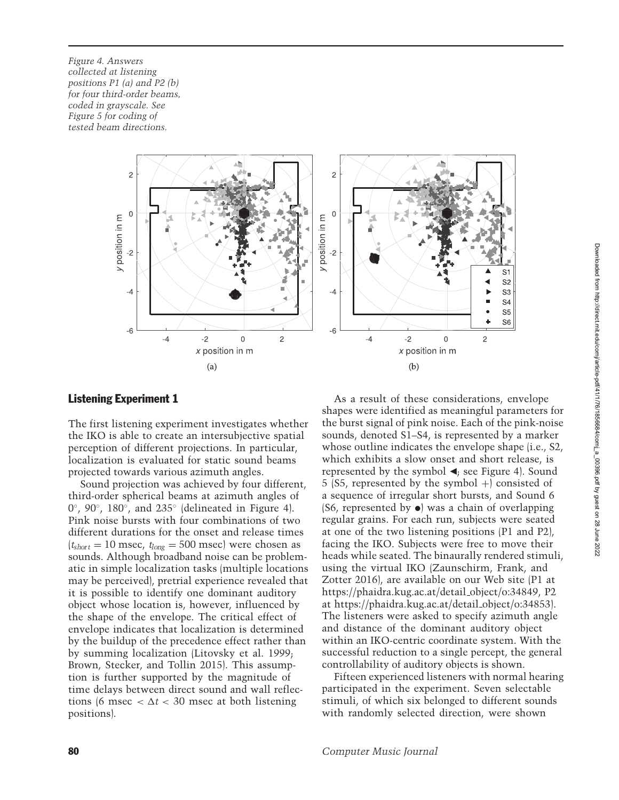*Figure 4. Answers collected at listening positions P1 (a) and P2 (b) for four third-order beams, coded in grayscale. See Figure 5 for coding of tested beam directions.*



# Listening Experiment 1

The first listening experiment investigates whether the IKO is able to create an intersubjective spatial perception of different projections. In particular, localization is evaluated for static sound beams projected towards various azimuth angles.

Sound projection was achieved by four different, third-order spherical beams at azimuth angles of 0◦, 90◦, 180◦, and 235◦ (delineated in Figure 4). Pink noise bursts with four combinations of two different durations for the onset and release times  $(t_{short} = 10$  msec,  $t_{long} = 500$  msec) were chosen as sounds. Although broadband noise can be problematic in simple localization tasks (multiple locations may be perceived), pretrial experience revealed that it is possible to identify one dominant auditory object whose location is, however, influenced by the shape of the envelope. The critical effect of envelope indicates that localization is determined by the buildup of the precedence effect rather than by summing localization [\(Litovsky et al. 1999](#page-12-15); [Brown, Stecker, and Tollin 2015](#page-11-5)). This assumption is further supported by the magnitude of time delays between direct sound and wall reflections (6 msec  $< \Delta t < 30$  msec at both listening positions).

As a result of these considerations, envelope shapes were identified as meaningful parameters for the burst signal of pink noise. Each of the pink-noise sounds, denoted S1–S4, is represented by a marker whose outline indicates the envelope shape (i.e., S2, which exhibits a slow onset and short release, is represented by the symbol  $\blacktriangleleft$ ; see Figure 4). Sound 5 (S5, represented by the symbol +) consisted of a sequence of irregular short bursts, and Sound 6 (S6, represented by  $\bullet$ ) was a chain of overlapping regular grains. For each run, subjects were seated at one of the two listening positions (P1 and P2), facing the IKO. Subjects were free to move their heads while seated. The binaurally rendered stimuli, using [the](#page-12-25) [virtual](#page-12-25) [IKO](#page-12-25) [\(](#page-12-25)Zaunschirm, Frank, and Zotter [2016\)](#page-12-25), are available on our Web site (P1 at https://phaidra.kug.ac.at/detail object/o:34849, P2 at https://phaidra.kug.ac.at/detail object/o:34853). The listeners were asked to specify azimuth angle and distance of the dominant auditory object within an IKO-centric coordinate system. With the successful reduction to a single percept, the general controllability of auditory objects is shown.

Fifteen experienced listeners with normal hearing participated in the experiment. Seven selectable stimuli, of which six belonged to different sounds with randomly selected direction, were shown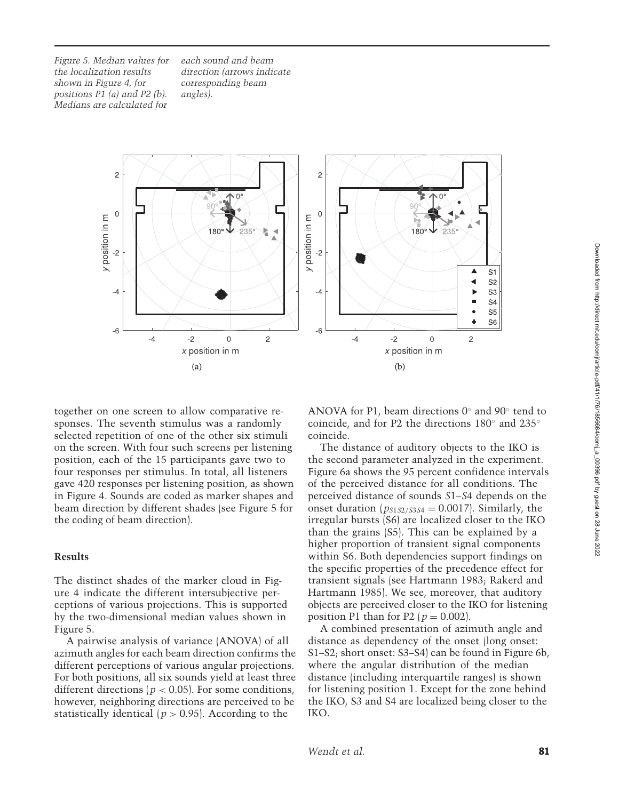*Figure 5. Median values for the localization results shown in Figure 4, for positions P1 (a) and P2 (b). Medians are calculated for*

*each sound and beam direction (arrows indicate corresponding beam angles).*



together on one screen to allow comparative responses. The seventh stimulus was a randomly selected repetition of one of the other six stimuli on the screen. With four such screens per listening position, each of the 15 participants gave two to four responses per stimulus. In total, all listeners gave 420 responses per listening position, as shown in Figure 4. Sounds are coded as marker shapes and beam direction by different shades (see Figure 5 for the coding of beam direction).

#### **Results**

The distinct shades of the marker cloud in Figure 4 indicate the different intersubjective perceptions of various projections. This is supported by the two-dimensional median values shown in Figure 5.

A pairwise analysis of variance (ANOVA) of all azimuth angles for each beam direction confirms the different perceptions of various angular projections. For both positions, all six sounds yield at least three different directions ( $p < 0.05$ ). For some conditions, however, neighboring directions are perceived to be statistically identical  $(p > 0.95)$ . According to the

ANOVA for P1, beam directions  $0°$  and  $90°$  tend to coincide, and for P2 the directions 180◦ and 235◦ coincide.

The distance of auditory objects to the IKO is the second parameter analyzed in the experiment. Figure 6a shows the 95 percent confidence intervals of the perceived distance for all conditions. The perceived distance of sounds *S*1–*S*4 depends on the onset duration  $(p_{S1S2/S3S4} = 0.0017)$ . Similarly, the irregular bursts (S6) are localized closer to the IKO than the grains (S5). This can be explained by a higher proportion of transient signal components within S6. Both dependencies support findings on the specific properties of the precedence effect for transient [signals \(see](#page-12-12) [Hartmann 1983](#page-12-11)[;](#page-12-12) Rakerd and Hartmann [1985](#page-12-12)). We see, moreover, that auditory objects are perceived closer to the IKO for listening position P1 than for P2 ( $p = 0.002$ ).

A combined presentation of azimuth angle and distance as dependency of the onset (long onset: S1–S2; short onset: S3–S4) can be found in Figure 6b, where the angular distribution of the median distance (including interquartile ranges) is shown for listening position 1. Except for the zone behind the IKO, S3 and S4 are localized being closer to the IKO.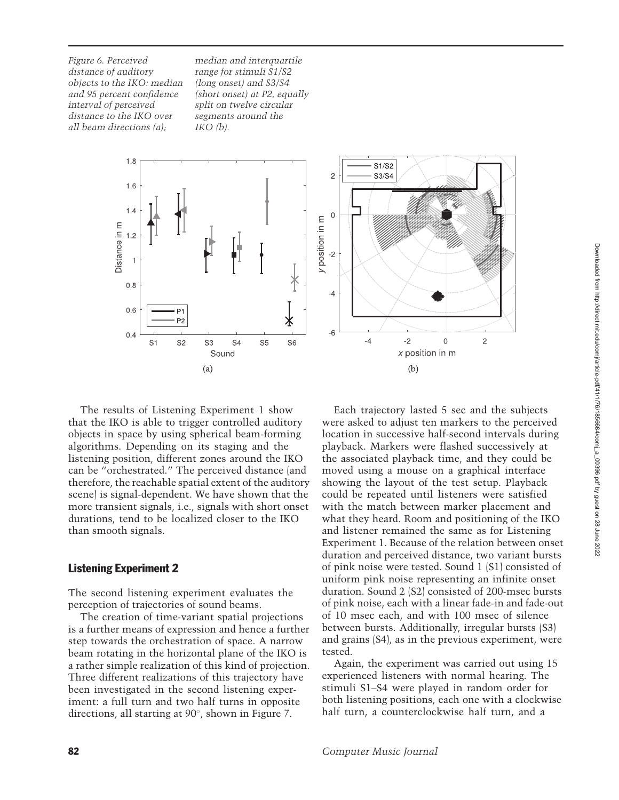*Figure 6. Perceived distance of auditory objects to the IKO: median and 95 percent confidence interval of perceived distance to the IKO over all beam directions (a);*

*median and interquartile range for stimuli S1/S2 (long onset) and S3/S4 (short onset) at P2, equally split on twelve circular segments around the IKO (b).*



The results of Listening Experiment 1 show that the IKO is able to trigger controlled auditory objects in space by using spherical beam-forming algorithms. Depending on its staging and the listening position, different zones around the IKO can be "orchestrated." The perceived distance (and therefore, the reachable spatial extent of the auditory scene) is signal-dependent. We have shown that the more transient signals, i.e., signals with short onset durations, tend to be localized closer to the IKO than smooth signals.

# Listening Experiment 2

The second listening experiment evaluates the perception of trajectories of sound beams.

The creation of time-variant spatial projections is a further means of expression and hence a further step towards the orchestration of space. A narrow beam rotating in the horizontal plane of the IKO is a rather simple realization of this kind of projection. Three different realizations of this trajectory have been investigated in the second listening experiment: a full turn and two half turns in opposite directions, all starting at 90◦, shown in Figure 7.

Each trajectory lasted 5 sec and the subjects were asked to adjust ten markers to the perceived location in successive half-second intervals during playback. Markers were flashed successively at the associated playback time, and they could be moved using a mouse on a graphical interface showing the layout of the test setup. Playback could be repeated until listeners were satisfied with the match between marker placement and what they heard. Room and positioning of the IKO and listener remained the same as for Listening Experiment 1. Because of the relation between onset duration and perceived distance, two variant bursts of pink noise were tested. Sound 1 (S1) consisted of uniform pink noise representing an infinite onset duration. Sound 2 (S2) consisted of 200-msec bursts of pink noise, each with a linear fade-in and fade-out of 10 msec each, and with 100 msec of silence between bursts. Additionally, irregular bursts (S3) and grains (S4), as in the previous experiment, were tested.

Again, the experiment was carried out using 15 experienced listeners with normal hearing. The stimuli S1–S4 were played in random order for both listening positions, each one with a clockwise half turn, a counterclockwise half turn, and a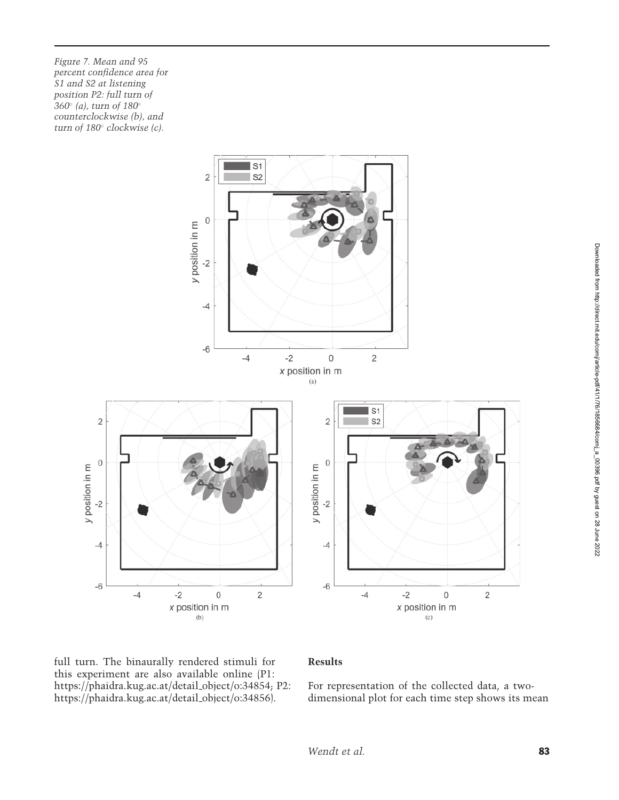*Figure 7. Mean and 95 percent confidence area for S1 and S2 at listening position P2: full turn of 360*◦ *(a), turn of 180*◦ *counterclockwise (b), and turn of 180*◦ *clockwise (c).*



full turn. The binaurally rendered stimuli for this experiment are also available online (P1: https://phaidra.kug.ac.at/detail object/o:34854; P2: https://phaidra.kug.ac.at/detail object/o:34856).

# **Results**

For representation of the collected data, a twodimensional plot for each time step shows its mean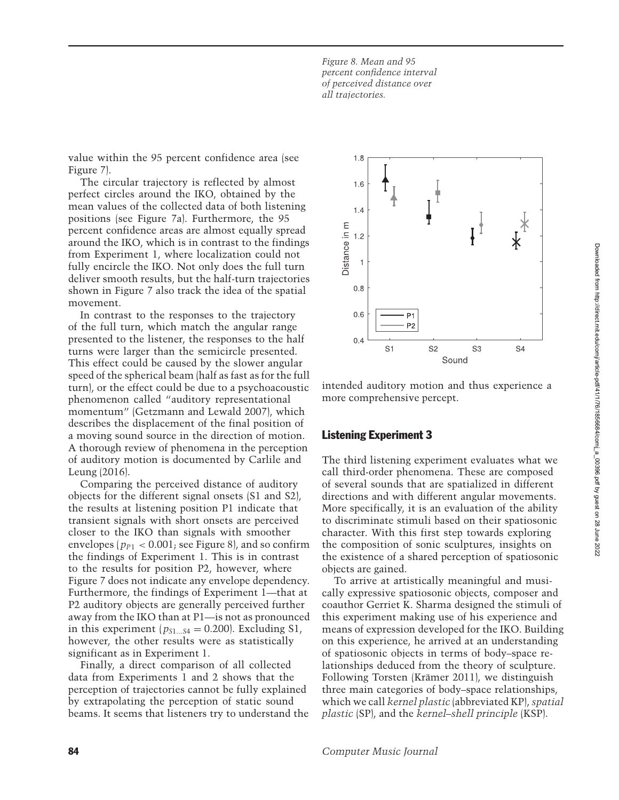*Figure 8. Mean and 95 percent confidence interval of perceived distance over all trajectories.*

value within the 95 percent confidence area (see Figure 7).

The circular trajectory is reflected by almost perfect circles around the IKO, obtained by the mean values of the collected data of both listening positions (see Figure 7a). Furthermore, the 95 percent confidence areas are almost equally spread around the IKO, which is in contrast to the findings from Experiment 1, where localization could not fully encircle the IKO. Not only does the full turn deliver smooth results, but the half-turn trajectories shown in Figure 7 also track the idea of the spatial movement.

In contrast to the responses to the trajectory of the full turn, which match the angular range presented to the listener, the responses to the half turns were larger than the semicircle presented. This effect could be caused by the slower angular speed of the spherical beam (half as fast as for the full turn), or the effect could be due to a psychoacoustic phenomenon called "auditory representational momentum" [\(Getzmann and Lewald 2007](#page-11-8)), which describes the displacement of the final position of a moving sound source in the direction of motion. A thorough review of phenomena in the perception of au[ditory](#page-11-9) [motion](#page-11-9) [is](#page-11-9) [documented](#page-11-9) [by](#page-11-9) Carlile and Leung [\(2016](#page-11-9)).

Comparing the perceived distance of auditory objects for the different signal onsets (S1 and S2), the results at listening position P1 indicate that transient signals with short onsets are perceived closer to the IKO than signals with smoother envelopes  $(p_{P1} < 0.001)$ ; see Figure 8), and so confirm the findings of Experiment 1. This is in contrast to the results for position P2, however, where Figure 7 does not indicate any envelope dependency. Furthermore, the findings of Experiment 1—that at P2 auditory objects are generally perceived further away from the IKO than at P1—is not as pronounced in this experiment  $(p_{S1...S4} = 0.200)$ . Excluding S1, however, the other results were as statistically significant as in Experiment 1.

Finally, a direct comparison of all collected data from Experiments 1 and 2 shows that the perception of trajectories cannot be fully explained by extrapolating the perception of static sound beams. It seems that listeners try to understand the



intended auditory motion and thus experience a more comprehensive percept.

#### Listening Experiment 3

The third listening experiment evaluates what we call third-order phenomena. These are composed of several sounds that are spatialized in different directions and with different angular movements. More specifically, it is an evaluation of the ability to discriminate stimuli based on their spatiosonic character. With this first step towards exploring the composition of sonic sculptures, insights on the existence of a shared perception of spatiosonic objects are gained.

To arrive at artistically meaningful and musically expressive spatiosonic objects, composer and coauthor Gerriet K. Sharma designed the stimuli of this experiment making use of his experience and means of expression developed for the IKO. Building on this experience, he arrived at an understanding of spatiosonic objects in terms of body–space relationships deduced from the theory of sculpture. Following Torsten (Krämer 2011), we distinguish three main categories of body–space relationships, which we call *kernel plastic* (abbreviated KP), *spatial plastic* (SP), and the *kernel–shell principle* (KSP).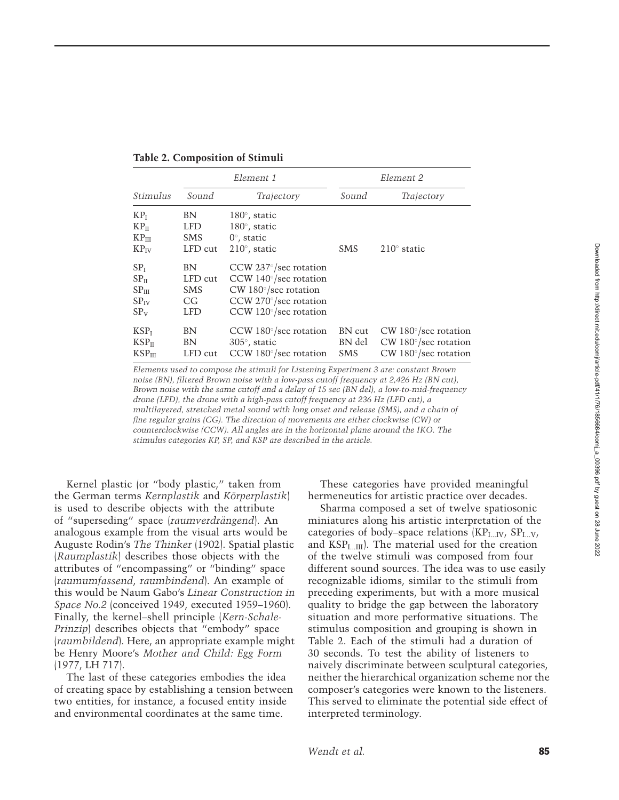|                           |            | Element 1                          | Element 2  |                                    |  |  |
|---------------------------|------------|------------------------------------|------------|------------------------------------|--|--|
| Stimulus                  | Sound      | Trajectory                         | Sound      | Trajectory                         |  |  |
| KP <sub>T</sub>           | ΒN         | $180^\circ$ , static               |            |                                    |  |  |
| $KP_{II}$                 | <b>LFD</b> | $180^\circ$ , static               |            |                                    |  |  |
| $KP_{III}$                | <b>SMS</b> | $0^\circ$ , static                 |            |                                    |  |  |
| $KP_{IV}$                 | LFD cut    | $210^\circ$ , static               | <b>SMS</b> | $210^\circ$ static                 |  |  |
| SP <sub>T</sub>           | BΝ         | CCW 237 $\degree$ /sec rotation    |            |                                    |  |  |
| $\mathrm{SP}_\mathrm{II}$ | LFD cut    | CCW 140°/sec rotation              |            |                                    |  |  |
| $SP_{III}$                | <b>SMS</b> | $CW 180^\circ/\text{sec rotation}$ |            |                                    |  |  |
| $SP_{IV}$                 | CG         | CCW $270^{\circ}/sec$ rotation     |            |                                    |  |  |
| $SP_{V}$                  | LFD        | CCW 120°/sec rotation              |            |                                    |  |  |
| KSP <sub>T</sub>          | BN         | CCW $180^{\circ}/sec$ rotation     | BN cut     | $CW 180^\circ/\text{sec rotation}$ |  |  |
| $KSP_{II}$                | BN         | $305^\circ$ , static               | BN del     | $CW 180^\circ/\text{sec rotation}$ |  |  |
| $KSP_{III}$               | LFD cut    | CCW $180^{\circ}/sec$ rotation     | <b>SMS</b> | CW 180°/sec rotation               |  |  |
|                           |            |                                    |            |                                    |  |  |

#### **Table 2. Composition of Stimuli**

*Elements used to compose the stimuli for Listening Experiment 3 are: constant Brown noise (BN), filtered Brown noise with a low-pass cutoff frequency at 2,426 Hz (BN cut), Brown noise with the same cutoff and a delay of 15 sec (BN del), a low-to-mid-frequency drone (LFD), the drone with a high-pass cutoff frequency at 236 Hz (LFD cut), a multilayered, stretched metal sound with long onset and release (SMS), and a chain of fine regular grains (CG). The direction of movements are either clockwise (CW) or counterclockwise (CCW). All angles are in the horizontal plane around the IKO. The stimulus categories KP, SP, and KSP are described in the article.*

Kernel plastic (or "body plastic," taken from the German terms *Kernplastik* and *Korperplastik ¨* ) is used to describe objects with the attribute of "superseding" space (*raumverdrängend*). An analogous example from the visual arts would be Auguste Rodin's *The Thinker* (1902). Spatial plastic (*Raumplastik*) describes those objects with the attributes of "encompassing" or "binding" space (*raumumfassend*, *raumbindend*). An example of this would be Naum Gabo's *Linear Construction in Space No.2* (conceived 1949, executed 1959–1960). Finally, the kernel–shell principle (*Kern-Schale-Prinzip*) describes objects that "embody" space (*raumbildend*). Here, an appropriate example might be Henry Moore's *Mother and Child: Egg Form* (1977, LH 717).

The last of these categories embodies the idea of creating space by establishing a tension between two entities, for instance, a focused entity inside and environmental coordinates at the same time.

These categories have provided meaningful hermeneutics for artistic practice over decades.

Sharma composed a set of twelve spatiosonic miniatures along his artistic interpretation of the categories of body–space relations  $(KP_{L,IV}, SP_{L,V},$ and  $KSP$ <sub>I...III</sub>). The material used for the creation of the twelve stimuli was composed from four different sound sources. The idea was to use easily recognizable idioms, similar to the stimuli from preceding experiments, but with a more musical quality to bridge the gap between the laboratory situation and more performative situations. The stimulus composition and grouping is shown in Table 2. Each of the stimuli had a duration of 30 seconds. To test the ability of listeners to naively discriminate between sculptural categories, neither the hierarchical organization scheme nor the composer's categories were known to the listeners. This served to eliminate the potential side effect of interpreted terminology.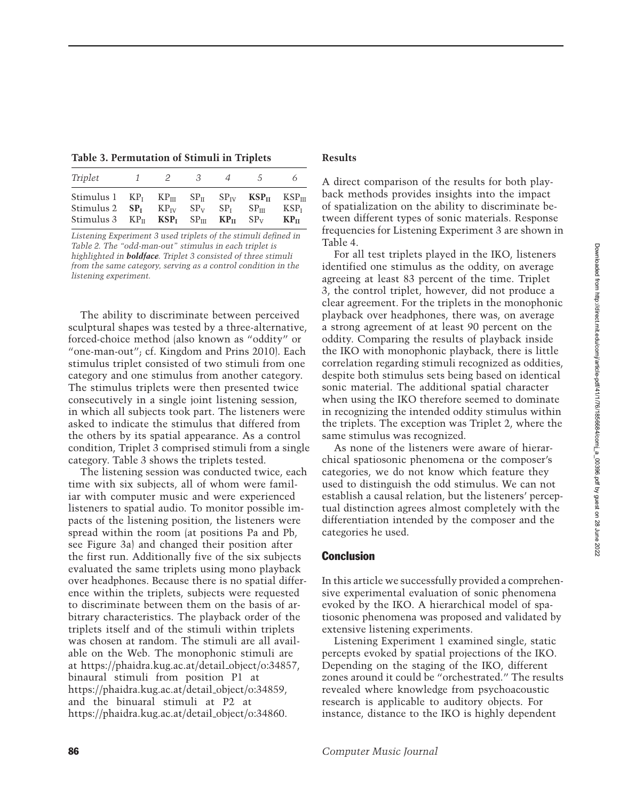**Table 3. Permutation of Stimuli in Triplets**

| Triplet                                                                                                                                                                                                                       | 2. | - 3 | $\mathcal{L}$ | $\Delta$ |                                      |
|-------------------------------------------------------------------------------------------------------------------------------------------------------------------------------------------------------------------------------|----|-----|---------------|----------|--------------------------------------|
| Stimulus 1 $KP_{II}$ $KP_{III}$ $SP_{II}$ $SP_{IV}$ $KSP_{II}$ $KSP_{III}$<br>Stimulus 2 $SP_I$ $KP_{IV}$ $SP_V$ $SP_I$ $SP_{III}$<br>Stimulus 3 $KP_{II}$ KSP <sub>I</sub> SP <sub>II</sub> KP <sub>II</sub> SP <sub>V</sub> |    |     |               |          | KSP <sub>r</sub><br>KP <sub>II</sub> |

*Listening Experiment 3 used triplets of the stimuli defined in Table 2. The "odd-man-out" stimulus in each triplet is highlighted in boldface. Triplet 3 consisted of three stimuli from the same category, serving as a control condition in the listening experiment.*

The ability to discriminate between perceived sculptural shapes was tested by a three-alternative, forced-choice method (also known as "oddity" or "one-man-out"; cf. [Kingdom and Prins 2010\)](#page-12-26). Each stimulus triplet consisted of two stimuli from one category and one stimulus from another category. The stimulus triplets were then presented twice consecutively in a single joint listening session, in which all subjects took part. The listeners were asked to indicate the stimulus that differed from the others by its spatial appearance. As a control condition, Triplet 3 comprised stimuli from a single category. Table 3 shows the triplets tested.

The listening session was conducted twice, each time with six subjects, all of whom were familiar with computer music and were experienced listeners to spatial audio. To monitor possible impacts of the listening position, the listeners were spread within the room (at positions Pa and Pb, see Figure 3a) and changed their position after the first run. Additionally five of the six subjects evaluated the same triplets using mono playback over headphones. Because there is no spatial difference within the triplets, subjects were requested to discriminate between them on the basis of arbitrary characteristics. The playback order of the triplets itself and of the stimuli within triplets was chosen at random. The stimuli are all available on the Web. The monophonic stimuli are at https://phaidra.kug.ac.at/detail object/o:34857, binaural stimuli from position P1 at https://phaidra.kug.ac.at/detail object/o:34859, and the binuaral stimuli at P2 at https://phaidra.kug.ac.at/detail object/o:34860.

## **Results**

A direct comparison of the results for both playback methods provides insights into the impact of spatialization on the ability to discriminate between different types of sonic materials. Response frequencies for Listening Experiment 3 are shown in Table 4.

For all test triplets played in the IKO, listeners identified one stimulus as the oddity, on average agreeing at least 83 percent of the time. Triplet 3, the control triplet, however, did not produce a clear agreement. For the triplets in the monophonic playback over headphones, there was, on average a strong agreement of at least 90 percent on the oddity. Comparing the results of playback inside the IKO with monophonic playback, there is little correlation regarding stimuli recognized as oddities, despite both stimulus sets being based on identical sonic material. The additional spatial character when using the IKO therefore seemed to dominate in recognizing the intended oddity stimulus within the triplets. The exception was Triplet 2, where the same stimulus was recognized.

As none of the listeners were aware of hierarchical spatiosonic phenomena or the composer's categories, we do not know which feature they used to distinguish the odd stimulus. We can not establish a causal relation, but the listeners' perceptual distinction agrees almost completely with the differentiation intended by the composer and the categories he used.

# **Conclusion**

In this article we successfully provided a comprehensive experimental evaluation of sonic phenomena evoked by the IKO. A hierarchical model of spatiosonic phenomena was proposed and validated by extensive listening experiments.

Listening Experiment 1 examined single, static percepts evoked by spatial projections of the IKO. Depending on the staging of the IKO, different zones around it could be "orchestrated." The results revealed where knowledge from psychoacoustic research is applicable to auditory objects. For instance, distance to the IKO is highly dependent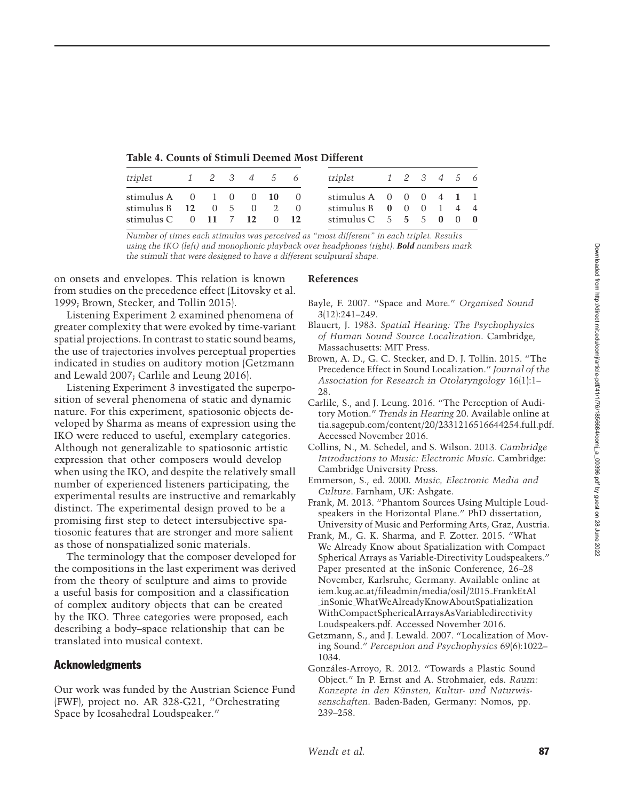Downloaded from http://direct.mit.edu/comj/article-pdf/41/1/76/1856684/com<u>j. a\_</u>00396.pdf by guest on 28 June 2022 Downloaded from http://direct.mit.edu/comj/article-pdf/41/1/76/1856684/comj\_a\_00396.pdf by guest on 28 June 2022

**Table 4. Counts of Stimuli Deemed Most Different**

| triplet                                                                                                          |  | 1 2 3 4 5 6 |  | triplet                                                                                                                                 |  | 1 2 3 4 5 6 |  |
|------------------------------------------------------------------------------------------------------------------|--|-------------|--|-----------------------------------------------------------------------------------------------------------------------------------------|--|-------------|--|
| stimulus A $0 \t1 \t0 \t0 \t10 \t0$<br>stimulus B $12 \t 0 \t 5 \t 0 \t 2 \t 0$<br>stimulus $C = 0$ 11 7 12 0 12 |  |             |  | stimulus A $\begin{array}{cccc} 0 & 0 & 0 & 4 & 1 & 1 \end{array}$<br>stimulus $B \t 0 \t 0 \t 1 \t 4 \t 4$<br>stimulus $C$ 5 5 5 0 0 0 |  |             |  |

*Number of times each stimulus was perceived as "most different" in each triplet. Results using the IKO (left) and monophonic playback over headphones (right). Bold numbers mark the stimuli that were designed to have a different sculptural shape.*

on onsets and envelopes. This relation is known from studies on the precedence effect [\(Litovsky et al.](#page-12-15) [1999;](#page-12-15) [Brown, Stecker, and Tollin 2015\)](#page-11-5).

Listening Experiment 2 examined phenomena of greater complexity that were evoked by time-variant spatial projections. In contrast to static sound beams, the use of trajectories involves perceptual properties indicated i[n studies on auditory motion \(](#page-11-8)Getzmann and Lewald [2007](#page-11-8); [Carlile and Leung 2016\)](#page-11-9).

Listening Experiment 3 investigated the superposition of several phenomena of static and dynamic nature. For this experiment, spatiosonic objects developed by Sharma as means of expression using the IKO were reduced to useful, exemplary categories. Although not generalizable to spatiosonic artistic expression that other composers would develop when using the IKO, and despite the relatively small number of experienced listeners participating, the experimental results are instructive and remarkably distinct. The experimental design proved to be a promising first step to detect intersubjective spatiosonic features that are stronger and more salient as those of nonspatialized sonic materials.

The terminology that the composer developed for the compositions in the last experiment was derived from the theory of sculpture and aims to provide a useful basis for composition and a classification of complex auditory objects that can be created by the IKO. Three categories were proposed, each describing a body–space relationship that can be translated into musical context.

# Acknowledgments

Our work was funded by the Austrian Science Fund (FWF), project no. AR 328-G21, "Orchestrating Space by Icosahedral Loudspeaker."

#### **References**

- <span id="page-11-3"></span>Bayle, F. 2007. "Space and More." *Organised Sound* 3(12):241–249.
- <span id="page-11-4"></span>Blauert, J. 1983. *Spatial Hearing: The Psychophysics of Human Sound Source Localization*. Cambridge, Massachusetts: MIT Press.
- <span id="page-11-5"></span>Brown, A. D., G. C. Stecker, and D. J. Tollin. 2015. "The Precedence Effect in Sound Localization." *Journal of the Association for Research in Otolaryngology* 16(1):1– 28.
- <span id="page-11-9"></span>Carlile, S., and J. Leung. 2016. "The Perception of Auditory Motion." *Trends in Hearing* 20. Available online at tia.sagepub.com/content/20/2331216516644254.full.pdf. Accessed November 2016.
- <span id="page-11-2"></span>Collins, N., M. Schedel, and S. Wilson. 2013. *Cambridge Introductions to Music: Electronic Music*. Cambridge: Cambridge University Press.
- <span id="page-11-1"></span>Emmerson, S., ed. 2000. *Music, Electronic Media and Culture*. Farnham, UK: Ashgate.
- <span id="page-11-6"></span>Frank, M. 2013. "Phantom Sources Using Multiple Loudspeakers in the Horizontal Plane." PhD dissertation, University of Music and Performing Arts, Graz, Austria.
- <span id="page-11-7"></span>Frank, M., G. K. Sharma, and F. Zotter. 2015. "What We Already Know about Spatialization with Compact Spherical Arrays as Variable-Directivity Loudspeakers." Paper presented at the inSonic Conference, 26–28 November, Karlsruhe, Germany. Available online at iem.kug.ac.at/fileadmin/media/osil/2015 FrankEtAl inSonic WhatWeAlreadyKnowAboutSpatialization WithCompactSphericalArraysAsVariabledirectivity Loudspeakers.pdf. Accessed November 2016.

<span id="page-11-8"></span>Getzmann, S., and J. Lewald. 2007. "Localization of Moving Sound." *Perception and Psychophysics* 69(6):1022– 1034.

<span id="page-11-0"></span>Gonzales-Arroyo, R. 2012. "Towards a Plastic Sound ´ Object." In P. Ernst and A. Strohmaier, eds. *Raum: Konzepte in den Kunsten, Kultur- und Naturwis- ¨ senschaften*. Baden-Baden, Germany: Nomos, pp. 239–258.